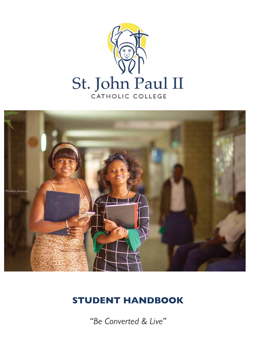



## STUDENT HANDBOOK

*"Be Converted & Live"*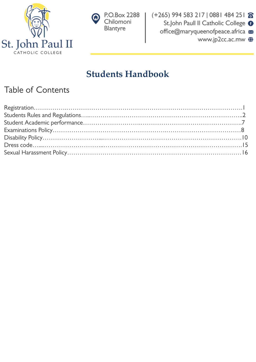



(+265) 994 583 217 | 0881 484 251 8 St.John Paull II Catholic College <sup>O</sup> office@maryqueenofpeace.africa www.jp2cc.ac.mw  $\bigoplus$ 

## **Students Handbook**

## Table of Contents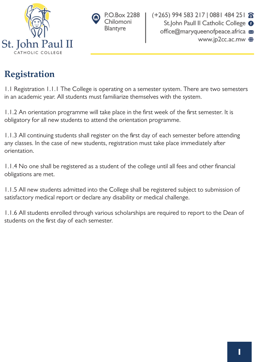



# **Registration**

1.1 Registration 1.1.1 The College is operating on a semester system. There are two semesters in an academic year. All students must familiarize themselves with the system.

1.1.2 An orientation programme will take place in the first week of the first semester. It is obligatory for all new students to attend the orientation programme.

1.1.3 All continuing students shall register on the first day of each semester before attending any classes. In the case of new students, registration must take place immediately after orientation.

1.1.4 No one shall be registered as a student of the college until all fees and other financial obligations are met.

1.1.5 All new students admitted into the College shall be registered subject to submission of satisfactory medical report or declare any disability or medical challenge.

1.1.6 All students enrolled through various scholarships are required to report to the Dean of students on the first day of each semester.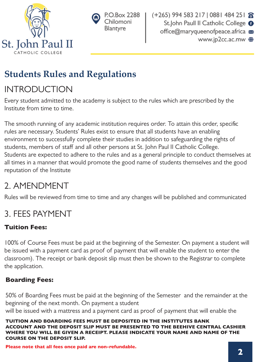



# **Students Rules and Regulations**

# INTRODUCTION

Every student admitted to the academy is subject to the rules which are prescribed by the Institute from time to time.

The smooth running of any academic institution requires order. To attain this order, specific rules are necessary. Students' Rules exist to ensure that all students have an enabling environment to successfully complete their studies in addition to safeguarding the rights of students, members of staff and all other persons at St. John Paul II Catholic College. Students are expected to adhere to the rules and as a general principle to conduct themselves at all times in a manner that would promote the good name of students themselves and the good reputation of the Institute

# 2. AMENDMENT

Rules will be reviewed from time to time and any changes will be published and communicated

# 3. FEES PAYMENT

### Tuition Fees:

100% of Course Fees must be paid at the beginning of the Semester. On payment a student will be issued with a payment card as proof of payment that will enable the student to enter the classroom). The receipt or bank deposit slip must then be shown to the Registrar to complete the application.

### Boarding Fees:

50% of Boarding Fees must be paid at the beginning of the Semester and the remainder at the beginning of the next month. On payment a student

will be issued with a mattress and a payment card as proof of payment that will enable the

TUITION AND BOARDING FEES MUST BE DEPOSITED IN THE INSTITUTES BANK ACCOUNT AND THE DEPOSIT SLIP MUST BE PRESENTED TO THE BEEHIVE CENTRAL CASHIER WHERE YOU WILL BE GIVEN A RECEIPT. PLEASE INDICATE YOUR NAME AND NAME OF THE COURSE ON THE DEPOSIT SLIP.

Please note that all fees once paid are non-refundable.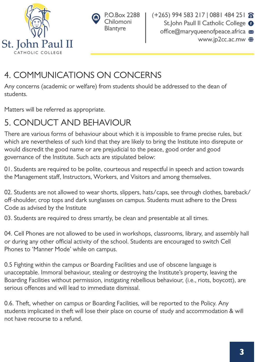



## 4. COMMUNICATIONS ON CONCERNS

Any concerns (academic or welfare) from students should be addressed to the dean of students.

Matters will be referred as appropriate.

## 5. CONDUCT AND BEHAVIOUR

There are various forms of behaviour about which it is impossible to frame precise rules, but which are nevertheless of such kind that they are likely to bring the Institute into disrepute or would discredit the good name or are prejudicial to the peace, good order and good governance of the Institute. Such acts are stipulated below:

01. Students are required to be polite, courteous and respectful in speech and action towards the Management staff, Instructors, Workers, and Visitors and among themselves.

02. Students are not allowed to wear shorts, slippers, hats/caps, see through clothes, bareback/ off-shoulder, crop tops and dark sunglasses on campus. Students must adhere to the Dress Code as advised by the Institute

03. Students are required to dress smartly, be clean and presentable at all times.

04. Cell Phones are not allowed to be used in workshops, classrooms, library, and assembly hall or during any other official activity of the school. Students are encouraged to switch Cell Phones to 'Manner Mode' while on campus.

0.5 Fighting within the campus or Boarding Facilities and use of obscene language is unacceptable. Immoral behaviour, stealing or destroying the Institute's property, leaving the Boarding Facilities without permission, instigating rebellious behaviour, (i.e., riots, boycott), are serious offences and will lead to immediate dismissal.

0.6. Theft, whether on campus or Boarding Facilities, will be reported to the Policy. Any students implicated in theft will lose their place on course of study and accommodation & will not have recourse to a refund.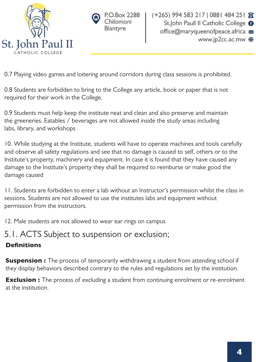



0.7 Playing video games and loitering around corridors during class sessions is prohibited.

0.8 Students are forbidden to bring to the College any article, book or paper that is not required for their work in the College.

0.9 Students must help keep the institute neat and clean and also preserve and maintain the greeneries. Eatables / beverages are not allowed inside the study areas including labs, library, and workshops

10. While studying at the Institute, students will have to operate machines and tools carefully and observe all safety regulations and see that no damage is caused to self, others or to the Institute's property, machinery and equipment. In case it is found that they have caused any damage to the Institute's property they shall be required to reimburse or make good the damage caused

11. Students are forbidden to enter a lab without an Instructor's permission whilst the class in sessions. Students are not allowed to use the institutes labs and equipment without permission from the instructors.

12. Male students are not allowed to wear ear rings on campus

### 5.1. ACTS Subject to suspension or exclusion; **Definitions**

#### **Suspension :** The process of temporarily withdrawing a student from attending school if they display behaviors described contrary to the rules and regulations set by the institution.

**Exclusion :** The process of excluding a student from continuing enrolment or re-enrolment at the institution.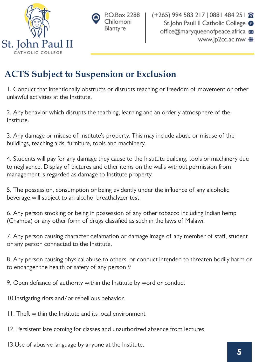



## **ACTS Subject to Suspension or Exclusion**

1. Conduct that intentionally obstructs or disrupts teaching or freedom of movement or other unlawful activities at the Institute.

2. Any behavior which disrupts the teaching, learning and an orderly atmosphere of the Institute.

3. Any damage or misuse of Institute's property. This may include abuse or misuse of the buildings, teaching aids, furniture, tools and machinery.

4. Students will pay for any damage they cause to the Institute building, tools or machinery due to negligence. Display of pictures and other items on the walls without permission from management is regarded as damage to Institute property.

5. The possession, consumption or being evidently under the influence of any alcoholic beverage will subject to an alcohol breathalyzer test.

6. Any person smoking or being in possession of any other tobacco including Indian hemp (Chamba) or any other form of drugs classified as such in the laws of Malawi.

7. Any person causing character defamation or damage image of any member of staff, student or any person connected to the Institute.

8. Any person causing physical abuse to others, or conduct intended to threaten bodily harm or to endanger the health or safety of any person 9

9. Open defiance of authority within the Institute by word or conduct

10.Instigating riots and/or rebellious behavior.

11. Theft within the Institute and its local environment

12. Persistent late coming for classes and unauthorized absence from lectures

13.Use of abusive language by anyone at the Institute.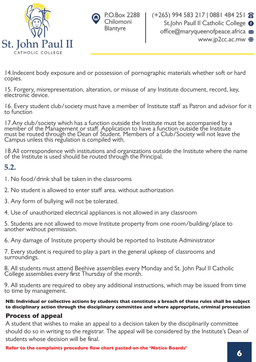



14.Indecent body exposure and or possession of pornographic materials whether soft or hard copies.

15. Forgery, misrepresentation, alteration, or misuse of any Institute document, record, key, electronic device.

16. Every student club/society must have a member of Institute staff as Patron and advisor for it to function

17.Any club/society which has a function outside the Institute must be accompanied by a member of the Management or staff. Application to have a function outside the Institute must be routed through the Dean of Student. Members of a Club/Society will not leave the Campus unless this regulation is compiled with.

18.All correspondence with institutions and organizations outside the Institute where the name of the Institute is used should be routed through the Principal.

### **5.2.**

- 1. No food/drink shall be taken in the classrooms
- 2. No student is allowed to enter staff area. without authorization
- 3. Any form of bullying will not be tolerated.
- 4. Use of unauthorized electrical appliances is not allowed in any classroom

5. Students are not allowed to move Institute property from one room/building/place to another without permission.

6. Any damage of Institute property should be reported to Institute Administrator

7. Every student is required to play a part in the general upkeep of classrooms and surroundings.

8. All students must attend Beehive assemblies every Monday and St. John Paul II Catholic College assemblies every first Thursday of the month.

9. All students are required to obey any additional instructions, which may be issued from time to time by management.

NB: Individual or collective actions by students that constitute a breach of these rules shall be subject to disciplinary action through the disciplinary committee and where appropriate, criminal prosecution

#### Process of appeal

A student that wishes to make an appeal to a decision taken by the disciplinarily committee should do so in writing to the registrar. The appeal will be considered by the Institute's Dean of students whose decision will be final.

Refer to the complaints procedure flow chart pasted on the 'Notice Boards'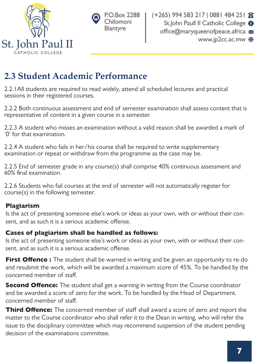



## **2.3 Student Academic Performance**

2.2.1All students are required to read widely, attend all scheduled lectures and practical sessions in their registered courses.

2.2.2 Both continuous assessment and end of semester examination shall assess content that is representative of content in a given course in a semester.

2.2.3 A student who misses an examination without a valid reason shall be awarded a mark of '0' for that examination.

2.2.4 A student who fails in her/his course shall be required to write supplementary examination or repeat or withdraw from the programme as the case may be.

2.2.5 End of semester grade in any course(s) shall comprise 40% continuous assessment and 60% final examination.

2.2.6 Students who fail courses at the end of semester will not automatically register for course(s) in the following semester.

### Plagiarism

Is the act of presenting someone else's work or ideas as your own, with or without their consent, and as such it is a serious academic offense.

### Cases of plagiarism shall be handled as follows:

Is the act of presenting someone else's work or ideas as your own, with or without their consent, and as such it is a serious academic offense.

First Offence : The student shall be warned in writing and be given an opportunity to re-do and resubmit the work, which will be awarded a maximum score of 45%. To be handled by the concerned member of staff.

**Second Offence:** The student shall get a warning in writing from the Course coordinator and be awarded a score of zero for the work. To be handled by the Head of Department. concerned member of staff.

Third Offence: The concerned member of staff shall award a score of zero and report the matter to the Course coordinator who shall refer it to the Dean in writing, who will refer the issue to the disciplinary committee which may recommend suspension of the student pending decision of the examinations committee.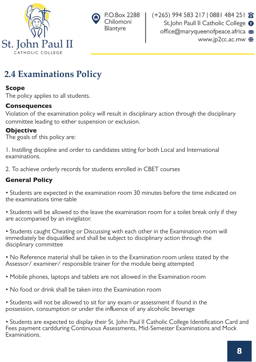



## **2.4 Examinations Policy**

#### Scope

The policy applies to all students.

#### **Consequences**

Violation of the examination policy will result in disciplinary action through the disciplinary committee leading to either suspension or exclusion.

### **Objective**

The goals of this policy are:

1. Instilling discipline and order to candidates sitting for both Local and International examinations.

2. To achieve orderly records for students enrolled in CBET courses

### General Policy

• Students are expected in the examination room 30 minutes before the time indicated on the examinations time-table

• Students will be allowed to the leave the examination room for a toilet break only if they are accompanied by an invigilator.

• Students caught Cheating or Discussing with each other in the Examination room will immediately be disqualified and shall be subject to disciplinary action through the disciplinary committee

• No Reference material shall be taken in to the Examination room unless stated by the Assessor/ examiner/ responsible trainer for the module being attempted

- Mobile phones, laptops and tablets are not allowed in the Examination room
- No food or drink shall be taken into the Examination room

• Students will not be allowed to sit for any exam or assessment if found in the possession, consumption or under the influence of any alcoholic beverage

• Students are expected to display their St. John Paul II Catholic College Identification Card and Fees payment cardduring Continuous Assessments, Mid-Semester Examinations and Mock Examinations.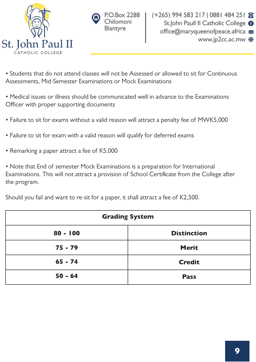



• Students that do not attend classes will not be Assessed or allowed to sit for Continuous Assessments, Mid-Semester Examinations or Mock Examinations

• Medical issues or illness should be communicated well in advance to the Examinations Officer with proper supporting documents

- Failure to sit for exams without a valid reason will attract a penalty fee of MWK5,000
- Failure to sit for exam with a valid reason will qualify for deferred exams
- Remarking a paper attract a fee of K5,000

• Note that End of semester Mock Examinations is a preparation for International Examinations. This will not attract a provision of School Certificate from the College after the program.

Should you fail and want to re-sit for a paper, it shall attract a fee of K2,500.

| <b>Grading System</b> |                    |
|-----------------------|--------------------|
| $80 - 100$            | <b>Distinction</b> |
| $75 - 79$             | <b>Merit</b>       |
| $65 - 74$             | <b>Credit</b>      |
| $50 - 64$             | <b>Pass</b>        |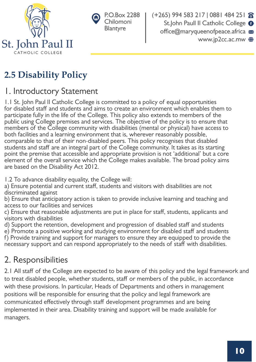



 $(+265)$  994 583 217 | 0881 484 251  $\hat{\mathbf{\Omega}}$ St.John Paull II Catholic College <sup>O</sup> office@maryqueenofpeace.africa www.jp2cc.ac.mw (

# **2.5 Disability Policy**

## 1. Introductory Statement

1.1 St. John Paul II Catholic College is committed to a policy of equal opportunities for disabled staff and students and aims to create an environment which enables them to participate fully in the life of the College. This policy also extends to members of the public using College premises and services. The objective of the policy is to ensure that members of the College community with disabilities (mental or physical) have access to both facilities and a learning environment that is, wherever reasonably possible, comparable to that of their non-disabled peers. This policy recognises that disabled students and staff are an integral part of the College community. It takes as its starting point the premise that accessible and appropriate provision is not 'additional' but a core element of the overall service which the College makes available. The broad policy aims are based on the Disability Act 2012.

1.2 To advance disability equality, the College will:

a) Ensure potential and current staff, students and visitors with disabilities are not discriminated against

b) Ensure that anticipatory action is taken to provide inclusive learning and teaching and access to our facilities and services

c) Ensure that reasonable adjustments are put in place for staff, students, applicants and visitors with disabilities

d) Support the retention, development and progression of disabled staff and students

e) Promote a positive working and studying environment for disabled staff and students

f) Provide training and support for managers to ensure they are equipped to provide the necessary support and can respond appropriately to the needs of staff with disabilities.

## 2. Responsibilities

2.1 All staff of the College are expected to be aware of this policy and the legal framework and to treat disabled people, whether students, staff or members of the public, in accordance with these provisions. In particular, Heads of Departments and others in management positions will be responsible for ensuring that the policy and legal framework are communicated effectively through staff development programmes and are being implemented in their area. Disability training and support will be made available for managers.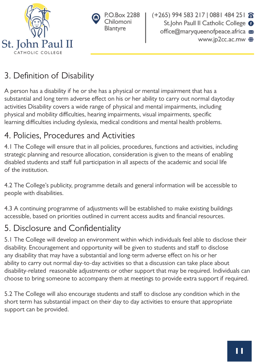



## 3. Definition of Disability

A person has a disability if he or she has a physical or mental impairment that has a substantial and long term adverse effect on his or her ability to carry out normal daytoday activities Disability covers a wide range of physical and mental impairments, including physical and mobility difficulties, hearing impairments, visual impairments, specific learning difficulties including dyslexia, medical conditions and mental health problems.

## 4. Policies, Procedures and Activities

4.1 The College will ensure that in all policies, procedures, functions and activities, including strategic planning and resource allocation, consideration is given to the means of enabling disabled students and staff full participation in all aspects of the academic and social life of the institution.

4.2 The College's publicity, programme details and general information will be accessible to people with disabilities.

4.3 A continuing programme of adjustments will be established to make existing buildings accessible, based on priorities outlined in current access audits and financial resources.

## 5. Disclosure and Confidentiality

5.1 The College will develop an environment within which individuals feel able to disclose their disability. Encouragement and opportunity will be given to students and staff to disclose any disability that may have a substantial and long-term adverse effect on his or her ability to carry out normal day-to-day activities so that a discussion can take place about disability-related reasonable adjustments or other support that may be required. Individuals can choose to bring someone to accompany them at meetings to provide extra support if required.

5.2 The College will also encourage students and staff to disclose any condition which in the short term has substantial impact on their day to day activities to ensure that appropriate support can be provided.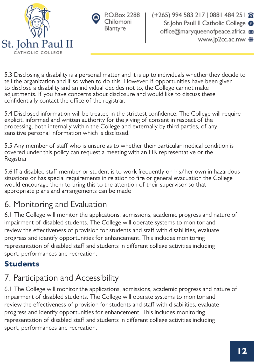



5.3 Disclosing a disability is a personal matter and it is up to individuals whether they decide to tell the organization and if so when to do this. However, if opportunities have been given to disclose a disability and an individual decides not to, the College cannot make adjustments. If you have concerns about disclosure and would like to discuss these confidentially contact the office of the registrar.

5.4 Disclosed information will be treated in the strictest confidence. The College will require explicit, informed and written authority for the giving of consent in respect of the processing, both internally within the College and externally by third parties, of any sensitive personal information which is disclosed.

5.5 Any member of staff who is unsure as to whether their particular medical condition is covered under this policy can request a meeting with an HR representative or the Registrar

5.6 If a disabled staff member or student is to work frequently on his/her own in hazardous situations or has special requirements in relation to fire or general evacuation the College would encourage them to bring this to the attention of their supervisor so that appropriate plans and arrangements can be made

## 6. Monitoring and Evaluation

6.1 The College will monitor the applications, admissions, academic progress and nature of impairment of disabled students. The College will operate systems to monitor and review the effectiveness of provision for students and staff with disabilities, evaluate progress and identify opportunities for enhancement. This includes monitoring representation of disabled staff and students in different college activities including sport, performances and recreation.

### **Students**

## 7. Participation and Accessibility

6.1 The College will monitor the applications, admissions, academic progress and nature of impairment of disabled students. The College will operate systems to monitor and review the effectiveness of provision for students and staff with disabilities, evaluate progress and identify opportunities for enhancement. This includes monitoring representation of disabled staff and students in different college activities including sport, performances and recreation.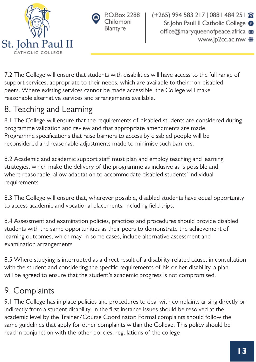



7.2 The College will ensure that students with disabilities will have access to the full range of support services, appropriate to their needs, which are available to their non-disabled peers. Where existing services cannot be made accessible, the College will make reasonable alternative services and arrangements available.

## 8. Teaching and Learning

8.1 The College will ensure that the requirements of disabled students are considered during programme validation and review and that appropriate amendments are made. Programme specifications that raise barriers to access by disabled people will be reconsidered and reasonable adjustments made to minimise such barriers.

8.2 Academic and academic support staff must plan and employ teaching and learning strategies, which make the delivery of the programme as inclusive as is possible and, where reasonable, allow adaptation to accommodate disabled students' individual requirements.

8.3 The College will ensure that, wherever possible, disabled students have equal opportunity to access academic and vocational placements, including field trips.

8.4 Assessment and examination policies, practices and procedures should provide disabled students with the same opportunities as their peers to demonstrate the achievement of learning outcomes, which may, in some cases, include alternative assessment and examination arrangements.

8.5 Where studying is interrupted as a direct result of a disability-related cause, in consultation with the student and considering the specific requirements of his or her disability, a plan will be agreed to ensure that the student's academic progress is not compromised.

## 9. Complaints

9.1 The College has in place policies and procedures to deal with complaints arising directly or indirectly from a student disability. In the first instance issues should be resolved at the academic level by the Trainer/Course Coordinator. Formal complaints should follow the same guidelines that apply for other complaints within the College. This policy should be read in conjunction with the other policies, regulations of the college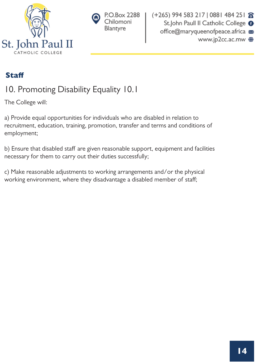



### **Staff**

## 10. Promoting Disability Equality 10.1

The College will:

a) Provide equal opportunities for individuals who are disabled in relation to recruitment, education, training, promotion, transfer and terms and conditions of employment;

b) Ensure that disabled staff are given reasonable support, equipment and facilities necessary for them to carry out their duties successfully;

c) Make reasonable adjustments to working arrangements and/or the physical working environment, where they disadvantage a disabled member of staff;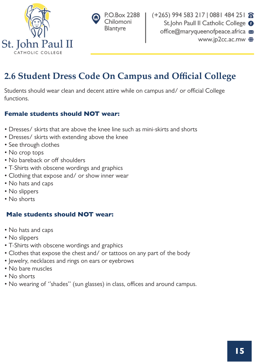



## **2.6 Student Dress Code On Campus and Official College**

Students should wear clean and decent attire while on campus and/ or official College functions.

#### Female students should NOT wear:

- Dresses/ skirts that are above the knee line such as mini-skirts and shorts
- Dresses/ skirts with extending above the knee
- See through clothes
- No crop tops
- No bareback or off shoulders
- T-Shirts with obscene wordings and graphics
- Clothing that expose and/ or show inner wear
- No hats and caps
- No slippers
- No shorts

#### Male students should NOT wear:

- No hats and caps
- No slippers
- T-Shirts with obscene wordings and graphics
- Clothes that expose the chest and/ or tattoos on any part of the body
- Jewelry, necklaces and rings on ears or eyebrows
- No bare muscles
- No shorts
- No wearing of "shades" (sun glasses) in class, offices and around campus.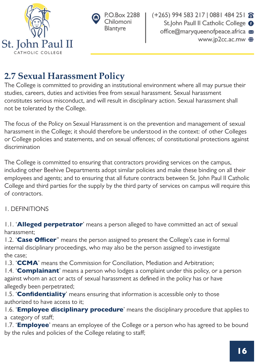



 $(+265)$  994 583 217 | 0881 484 251  $\otimes$ St.John Paull II Catholic College <sup>O</sup> office@maryqueenofpeace.africa www.jp2cc.ac.mw (

## **2.7 Sexual Harassment Policy**

The College is committed to providing an institutional environment where all may pursue their studies, careers, duties and activities free from sexual harassment. Sexual harassment constitutes serious misconduct, and will result in disciplinary action. Sexual harassment shall not be tolerated by the College.

The focus of the Policy on Sexual Harassment is on the prevention and management of sexual harassment in the College; it should therefore be understood in the context: of other Colleges or College policies and statements, and on sexual offences; of constitutional protections against discrimination

The College is committed to ensuring that contractors providing services on the campus, including other Beehive Departments adopt similar policies and make these binding on all their employees and agents; and to ensuring that all future contracts between St. John Paul II Catholic College and third parties for the supply by the third party of services on campus will require this of contractors.

### 1. DEFINITIONS

1.1. 'Alleged perpetrator' means a person alleged to have committed an act of sexual harassment;

1.2. 'Case Officer" means the person assigned to present the College's case in formal internal disciplinary proceedings, who may also be the person assigned to investigate the case;

1.3. 'CCMA' means the Commission for Conciliation, Mediation and Arbitration;

1.4. **Complainant**' means a person who lodges a complaint under this policy, or a person against whom an act or acts of sexual harassment as defined in the policy has or have allegedly been perpetrated;

1.5. 'Confidentiality' means ensuring that information is accessible only to those authorized to have access to it;

1.6. 'Employee disciplinary procedure' means the disciplinary procedure that applies to a category of staff;

1.7. '**Employee'** means an employee of the College or a person who has agreed to be bound by the rules and policies of the College relating to staff;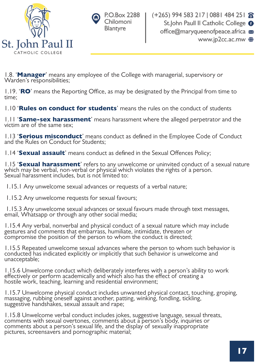



1.8. 'Manager' means any employee of the College with managerial, supervisory or Warden's responsibilities;

 $1.19$ . 'RO' means the Reporting Office, as may be designated by the Principal from time to time;

1.10 **Rules on conduct for students**' means the rules on the conduct of students

1.11 'Same-sex harassment' means harassment where the alleged perpetrator and the victim are of the same sex;

1.13 'Serious misconduct' means conduct as defined in the Employee Code of Conduct and the Rules on Conduct for Students;

1.14 **Sexual assault**' means conduct as defined in the Sexual Offences Policy;

1.15 'Sexual harassment' refers to any unwelcome or uninvited conduct of a sexual nature which may be verbal, non-verbal or physical which violates the rights of a person. Sexual harassment includes, but is not limited to:

1.15.1 Any unwelcome sexual advances or requests of a verbal nature;

1.15.2 Any unwelcome requests for sexual favours;

 1.15.3 Any unwelcome sexual advances or sexual favours made through text messages, email, Whatsapp or through any other social media;

1.15.4 Any verbal, nonverbal and physical conduct of a sexual nature which may include gestures and comments that embarrass, humiliate, intimidate, threaten or compromise the position of the person to whom the conduct is directed;

1.15.5 Repeated unwelcome sexual advances where the person to whom such behavior is conducted has indicated explicitly or implicitly that such behavior is unwelcome and unacceptable;

1.15.6 Unwelcome conduct which deliberately interferes with a person's ability to work effectively or perform academically and which also has the effect of creating a hostile work, teaching, learning and residential environment;

1.15.7 Unwelcome physical conduct includes unwanted physical contact, touching, groping, massaging, rubbing oneself against another, patting, winking, fondling, tickling, suggestive handshakes, sexual assault and rape;

1.15.8 Unwelcome verbal conduct includes jokes, suggestive language, sexual threats, comments with sexual overtones, comments about a person's body, inquiries or comments about a person's sexual life, and the display of sexually inappropriate pictures, screensavers and pornographic material;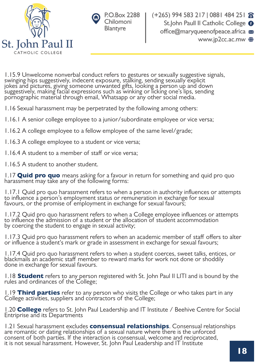



1.15.9 Unwelcome nonverbal conduct refers to gestures or sexually suggestive signals, swinging hips suggestively, indecent exposure, stalking, sending sexually explicit jokes and pictures, giving someone unwanted gifts, looking a person up and down suggestively, making facial expressions such as winking or licking one's lips, sending pornographic material through email, Whatsapp or any other social media.

1.16 Sexual harassment may be perpetrated by the following among others:

1.16.1 A senior college employee to a junior/subordinate employee or vice versa;

1.16.2 A college employee to a fellow employee of the same level/grade;

1.16.3 A college employee to a student or vice versa;

1.16.4 A student to a member of staff or vice versa:

1.16.5 A student to another student.

1.17 **Quid pro quo** means asking for a favour in return for something and quid pro quo harassment may take any of the following forms:

1.17.1 Quid pro quo harassment refers to when a person in authority influences or attempts to influence a person's employment status or remuneration in exchange for sexual favours, or the promise of employment in exchange for sexual favours;

1.17.2 Quid pro quo harassment refers to when a College employee influences or attempts to influence the admission of a student or the allocation of student accommodation by coercing the student to engage in sexual activity;

1.17.3 Quid pro quo harassment refers to when an academic member of staff offers to alter or influence a student's mark or grade in assessment in exchange for sexual favours;

1.17.4 Quid pro quo harassment refers to when a student coerces, sweet talks, entices, or blackmails an academic staff member to reward marks for work not done or shoddily done in exchange for sexual favours.

1.18 **Student** refers to any person registered with St. John Paul II LITI and is bound by the rules and ordinances of the College;

1.19 **Third parties** refer to any person who visits the College or who takes part in any College activities, suppliers and contractors of the College;

1.20 **College** refers to St. John Paul Leadership and IT Institute / Beehive Centre for Social Entriprise and its Departments

1.21 Sexual harassment excludes **consensual relationships**. Consensual relationships are romantic or dating relationships of a sexual nature where there is the unforced consent of both parties. If the interaction is consensual, welcome and reciprocated, it is not sexual harassment. However, St. John Paul Leadership and IT Institute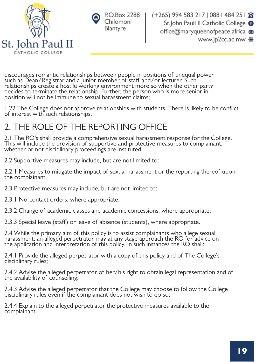



discourages romantic relationships between people in positions of unequal power such as Dean/Registrar and a junior member of staff and/or lecturer. Such relationships create a hostile working environment more so when the other party decides to terminate the relationship. Further, the person who is more senior in position will not be immune to sexual harassment claims;

1.22 The College does not approve relationships with students. There is likely to be conflict of interest with such relationships.

## 2. THE ROLE OF THE REPORTING OFFICE

2.1 The RO's shall provide a comprehensive sexual harassment response for the College. This will include the provision of supportive and protective measures to complainant, whether or not disciplinary proceedings are instituted.

2.2 Supportive measures may include, but are not limited to:

2.2.1 Measures to mitigate the impact of sexual harassment or the reporting thereof upon the complainant.

2.3 Protective measures may include, but are not limited to:

2.3.1 No-contact orders, where appropriate;

2.3.2 Change of academic classes and academic concessions, where appropriate;

2.3.3 Special leave (staff) or leave of absence (students), where appropriate.

2.4 While the primary aim of this policy is to assist complainants who allege sexual harassment, an alleged perpetrator may at any stage approach the RO for advice on the application and interpretation of this policy. In such instances the RO shall:

2.4.1 Provide the alleged perpetrator with a copy of this policy and of The College's disciplinary rules;

2.4.2 Advise the alleged perpetrator of her/his right to obtain legal representation and of the availability of counselling;

2.4.3 Advise the alleged perpetrator that the College may choose to follow the College disciplinary rules even if the complainant does not wish to do so;

2.4.4 Explain to the alleged perpetrator the protective measures available to the complainant.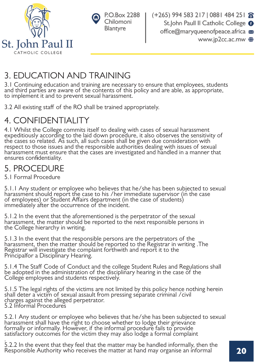

|   | $\odot$ P.O.Box 2288 |
|---|----------------------|
| v | Chilomoni            |
|   | Blantyre             |

## 3. EDUCATION AND TRAINING

3.1 Continuing education and training are necessary to ensure that employees, students and third parties are aware of the contents of this policy and are able, as appropriate, to implement it and to prevent sexual harassment.

3.2 All existing staff of the RO shall be trained appropriately.

## 4. CONFIDENTIALITY

4.1 Whilst the College commits itself to dealing with cases of sexual harassment expeditiously according to the laid down procedure, it also observes the sensitivity of the cases so related. As such, all such cases shall be given due consideration with respect to those issues and the responsible authorities dealing with issues of sexual harassment must ensure that the cases are investigated and handled in a manner that ensures confidentiality.

## 5. PROCEDURE

5.1 Formal Procedure

5.1.1 Any student or employee who believes that he/she has been subjected to sexual harassment should report the case to his /her immediate supervisor (in the case of employees) or Student Affairs department (in the case of students) immediately after the occurrence of the incident.

5.1.2 In the event that the aforementioned is the perpetrator of the sexual harassment, the matter should be reported to the next responsible persons in the College hierarchy in writing.

5.1.3 In the event that the responsible persons are the perpetrators of the harassment, then the matter should be reported to the Registrar in writing .The Registrar will investigate the complaint forthwith and report it to the Principalfor a Disciplinary Hearing.

5.1.4 The Staff Code of Conduct and the college Student Rules and Regulations shall be adopted in the administration of the disciplinary hearing in the case of the College employees and students respectively.

5.1.5 The legal rights of the victims are not limited by this policy hence nothing herein shall deter a victim of sexual assault from pressing separate criminal /civil charges against the alleged perpetrator. 5.2 Informal Procedures

5.2.1 Any student or employee who believes that he/she has been subjected to sexual harassment shall have the right to choose whether to lodge their grievance formally or informally. However, if the informal procedure fails to provide satisfactory outcomes for the victim they may also lodge a formal complaint

. 5.2.2 In the event that they feel that the matter may be handled informally, then the Responsible Authority who receives the matter at hand may organise an informal  $\blacksquare$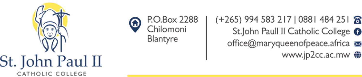



(+265) 994 583 217 | 0881 484 251 8 St.John Paull II Catholic College O office@maryqueenofpeace.africa www.jp2cc.ac.mw ●